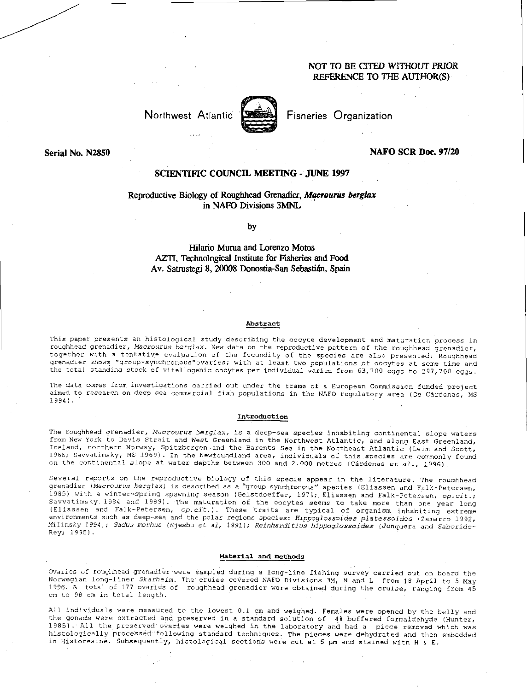# NOT TO BE CITED WITHOUT PRIOR REFERENCE TO THE AUTHOR(S)

Northwest Atlantic



Fisheries Organization

Serial No. N2850

## NAFO SCR Doc. 97/20

# SCIENTIFIC COUNCIL MEETING - JUNE 1997

## Reproductive Biology of Roughhead Grenadier, *Macrourus berglax*  in NAFO Divisions 3MNL

by

Hilario Murua and Lorenzo Motos AZTI, Technological Institute for Fisheries and Food Av. Satrustegi 8, 20008 Donostia-San Sebastián, Spain

#### Abstract

This paper presents an histological study describing the oocyte development and maturation process in roughhead grenadier, *Macrourus berglax.* New data on the reproductive pattern of the roughhead grenadier, together with a tentative evaluation of the fecundity of the species are also presented. Roughhead regences are sensive "group-synchronous" ovaries; with at least two populations of oocytes at some time and the total standing stock of vitellogenic oocytes per individual varied from 63,700 eggs to 297,700 eggs.

The data comes from investigations carried out under the frame of a European Commission funded project aimed to research on deep sea commercial fish populations in the NAFO regulatory area (De Cárdenas, MS 1994).

#### Introduction

The roughhead grenadier, *Macrourus berglax,* is a deep-sea species inhabiting continental slope waters from New York to Davis Strait and West Greenland in the Northwest Atlantic, and along East Greenland, Iceland, northern Norway, Spitzbergen and the Barents Sea in the Northeast Atlantic (Leim and Scott, 1966; Savvatimsky, MS 1969). In the Newfoundland area, individuals of this species are commonly found on the continental slope at water depths between 300 and 2.000 metres (Cardenas *et* a/., 1996).

Several reports on the reproductive biology of this specie appear in the literature. The roughhead grenadier *(Macrourus berglax)* is described as a "group synchronous" species (Eliassen and Falk-Petersen, 1985) with a winter-spring spawning season (Geistdoeffer, 1979; Eliassen and Falk-Petersen, *op.cit.;*  Savvatimsky. 1984 and 1989). The maturation of the oocytes seems to take more than one year long (Eliassen and Falk-Petersen, *op.cie.).* These traits are typical of organism inhabiting extreme environments such as deep-sea and the polar regions species: *Hippoglossoides platessoides* ( Zamarro 1992, Milinsky 1994); *Gadus morhua* (Kjesbu et al, 1991); *Reinharditius hippoglossoides* (Junquera and Saboridokey; 1995).

#### Material and methods

Ovaries of roughhead grenadier were sampled during a long-line fishing survey carried out on board the Norwegian long-liner *Skarheim.* The cruise covered NAFO Divisions 3M, N and L from 18 April to 5 May 1996. A total of 177 ovaries of roughhead grenadier were obtained during the cruise, ranging from 45 cm to 98 cm in total length.

All individuals were measured to the lowest 0.1 cm and weighed. Females were opened by the belly and the gonads were extracted and preserved in a standard solution of 4% buffered formaldehyde (Hunter, 1985) All the preserved ovaries were weighed in the laboratory and had a piece removed which was histologically processed following standard techniques. The pieces were dehydrated and then embedded in Historesine. Subsequently, histological sections were cut at 5 um and stained with H & E.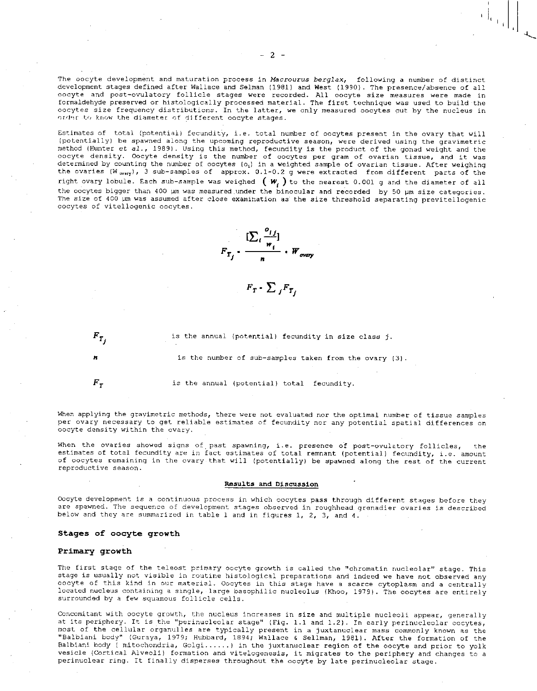The oocyte development and maturation process in *Macrourus berglax,* following a number of distinct development stages defined after Wallace and Selman (1981) and West (1990). The presence/absence of all oocyte and post-ovulatory follicle stages were recorded. All oocyte size measures were made in formaldehyde preserved or histologically processed material. The first technique was used to build the oocytes size frequency distributions. In the latter, we only measured oocytes cut by the nucleus in order to know the diameter of different oocyte stages.

Estimates of total (potential) fecundity, i.e. total number of oocytes present in the ovary that will (potentially) be spawned along the upcoming reproductive season, were derived using the gravimetric method (Hunter et al., 1989). Using this method, fecundity is the product of the gonad weight and the oocyte density. Oocyte density is the number of oocytes per gram of ovarian tissue, and it was determined by counting the number of oocytes (o.) in a weighted sample of ovarian tissue. After weighing the ovaries ( $W_{\text{ovary}}$ ), 3 sub-samples of approx. 0.1-0.2 g were extracted from different parts of the right ovary lobule. Each sub-sample was weighed  $(w<sub>i</sub>)$  to the nearest 0.001 g and the diameter of all the oocytes bigger than 400 pm was measured under the binocular and recorded by 50 pm size categories. The size of 400 um was assumed after close examination as the size threshold separating previtellogenic oocytes of vitellogenic oocytes.



 $F_T$  **·**  $\sum$   $_i$   $F_{T_i}$ 

 $F_{T}$ , is the annual (potential) fecundity in size class *j*.

is the number of sub-samples taken from the ovary (3).

 $F_T$  is the annual (potential) total fecundity.

When applying the gravimetric methods, there were not evaluated nor the optimal number of tissue samples per ovary necessary to get reliable estimates of fecundity nor any potential spatial differences on oocyte density within the ovary.

When the ovaries showed signs of past spawning, i.e. presence of post-ovulatory follicles, estimates of total fecundity are in fact estimates of total remnant (potential) fecundity, i.e. amount of oocytes remaining in the ovary that will (potentially) be spawned along the rest of the current reproductive season.

#### Results and Discussion

Oocyte development is a continuous process in which oocytes pass through different stages before they are spawned. The sequence of development stages observed in roughhead grenadier ovaries is described below and they are summarized in table 1 and in figures 1, 2, 3, and 4.

### Stages of oocyte growth

## Primary growth

The first stage of the teleost primary oocyte growth is called the "chromatin nucleolar" stage. This stage is usually not visible in routine histological preparations and indeed we have not observed any oocyte of this kind in our material. Oocytes in this stage have a scarce cytoplasm and a centrally located nucleus containing a single, large basophilic nucleolus (Khoo, 1979). The oocytes are entirely surrounded by a few squamous follicle cells.

Concomitant with oocyte growth, the nucleus increases in size and multiple nucleoli appear, generally at its periphery. It is the "perinucleolar stage" (Fig. 1.1 and 1.2). In early perinucleolar oocytes, most of the cellular organulles are typically present in a juxtanuclear mass commonly known as the "Balbiani body" (Guraya, 1979; Hubbard, 1894; Wallace & Sellman, 1981). After the formation of the Balbiani body ( mitochondria, Golgi......) in the juxtanuclear region of the oocyte and prior to yolk vesicle (Cortical Alveoli) formation and vitelogenesis, it migrates to the periphery and changes to a perinuclear ring. It finally disperses throughout the oocyte by late perinucleolar stage.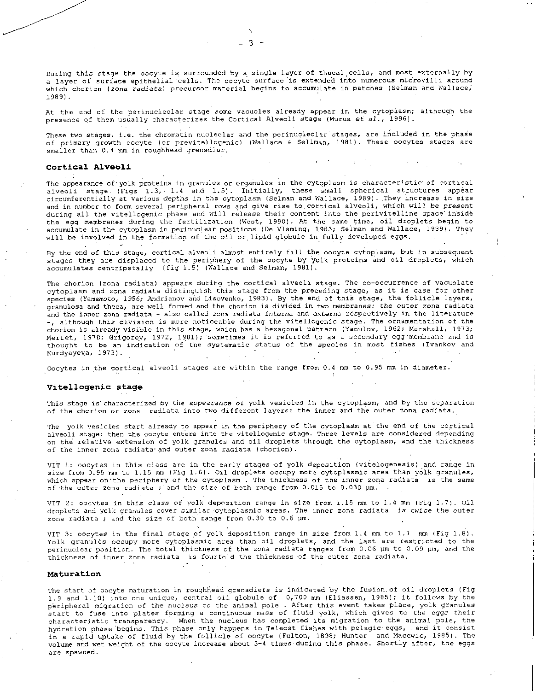During this stage the oocyte is surrounded by a single layer of thecal,cells, and most externally by a layer of surface epithelial cells. The oocyte surface is extended into numerous mictovilli around which chorion (zona radiata) precursor material begins to accumulate in patches (Selman and Wallace, 1989).

At the end of the perinucleolar stage some vacuoles already appear in the cytoplasm; although the presence of them usually characterizes the Cortical Alveoli stage (Murua et al., 1996).

These two stages, i.e. the chromatin nucleolar and the perinucleolar stages, are included in the phase of primary growth oocyte (or previtellogenic) (Wallace & Sellman, 1981). These oocytes stages are smaller than 0.4 mm in roughhead grenadier.

#### Cortical Alveoli

The appearance of•yolk proteins in granules or organules in the cytoplasm is characteristic of cortical alveoli stage (Figs 1.3, 1.4 and 1.5). Initially, these small spherical structures appear circumferentially at various depths in the cytoplasm (Selman and Wallace, 1989). They increase in size and in number to form several peripheral rows and give rise to cortical alveoli, which will be *present*  during all the vitellogenic phase and will release their content into the perivitelline space inside the egg membranes during the fertilization (West, 1990). At the same time, oil droplets begin to accumulate in the cytoplasm in perinuclear positions (De Vlaming, 1983; Selman and Wallace, 1989). They will be involved in the formation of the oil or lipid globule in fully developed eggs.

By the end of this stage, cortical alveoli almost entirely fill the oocyte cytoplasm, but in subsequent stages they are displaced to the periphery of the oocyte by yolk proteins and oil droplets, which accumulates centripetally (fig 1.5) (Wallace and Selman, 1981).

The chorion (zona radiata) appears during the cortical alveoli stage. The co-occurrence of vacuolate cytoplasm and zona radiata distinguish this stage from the preceding stage, as it is case for other species (Yamamoto, 1956; Andrianov and Lisovenko, 1983). By the end of this stage, the follicle layers, granulosa and theca, are well formed and the chorion is divided in two membranes: the outer zona radiata and the inner zona radiata - also called zona radiata *interne* and externa respectively in the literature -, although this division is more noticeable during the vitellogenic stage. The ornamentation of the chorion is already visible in this stage, which has a hexagonal pattern (Yanulov, 1962; Marshall, 1973; Merret, 1978; Grigorev, 1972, 1981); sometimes it is referred to as a secondary egg 'membrane and is thought to be an indication of the systematic status of the species in most fishes (Ivankov and Kurdyayeva, 1973).  $\sim$   $\sim$ 

Oocytes in the cortical alveoli stages are within the range from 0.4 mm to 0.95 mm in diameter.

### Vitellogenic stage

This stage is' characterized by the appearance of yolk vesicles in the cytoplasm, and by the separation of the chorion or zona radiata into two different layers: the inner and the outer zona radiata.

The yolk vesicles start already to appear in the periphery of the cytoplasm at the end of the cortical alveoli stage; then the oocyte enters into the vitellogenic stage. Three levels are considered depending on the relative extension of yolk granules and oil droplets through the cytoplasm, and the thickness of the inner zona radiata'and outer zona radiata (chorion).

VIT 1: oocytes in this class are in the early stages of yolk deposition (vitelogenesis) and range in size from 0.95 mm to 1.15 mm (Fig 1.6). Oil droplets occupy more cytoplasmic area than yolk granules, which appear on•the periphery of the cytoplasm . The thickness of the inner zona radiata is the same of the outer zona radiata ; and the size of both range from 0.015 to 0.030 pm.

VIT 2: oocytes in this *class* of yolk deposition range in size from 1.15 mm to 1.4 mm (Fig 1.7). Oil droplets and yolk granules cover similar-cytoplasmic areas. The inner zona radiata is *twice* the outer zona radiata ; and the size of both range from 0.30 to 0.6 pm.

VIT 3: oocytes in the final stage of yolk deposition range in size from 1.4 mm to 1.7 mm (Fig 1.8). Yolk granules occupy more cytoplasmic area than oil droplets, and the last are restricted to the perinuclear position. The total thickness of the zona radiata ranges from 0.06 pm to 0.09 pm, and the thickness of inner zona radiata is fourfold the thickness of the outer zona radiata.

### Maturation

The start of oocyte maturation in roughhead grenadiers is indicated by the fusion. of oil droplets (Fig 1.9 and 1.10) into one unique, central oil globule of 0,700 mm (Eliassen, 1985); it follows by the peripheral migration of the nucleus to the animal pole . After this event takes place, yolk granules start to fuse into plates forming a continuous mass of fluid yolk, which gives to the *eggs* their characteristic transparency. When the nucleus has completed its migration to the animal pole, the hydration phase begins. This phase only happens in Teleost fishes with pelagic eggs, . and it consist in a rapid uptake of fluid by the follicle of oocyte (Fulton, 1898; Hunter and Macewic, 1985). The volume and wet weight of the oocyte increase about 3-4 times-during this phase. Shortly after, the eggs are spawned.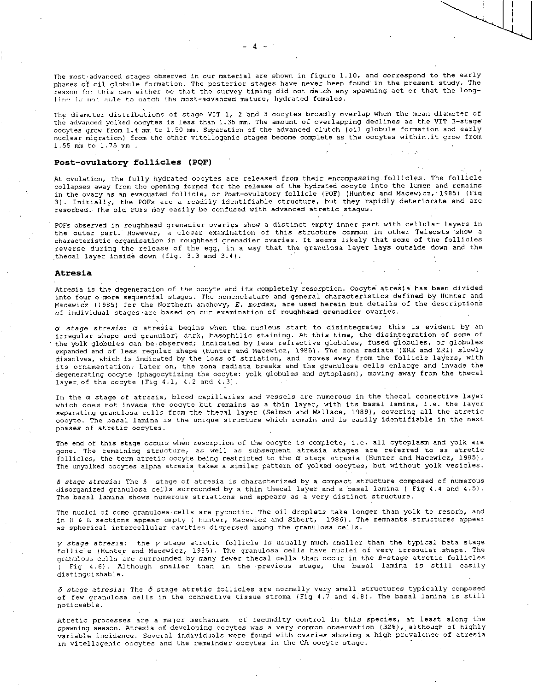The most:advanced stages observed in our material are shown in figure 1.10, and correspond to the early phases'of oil globule formation. The posterior stages have never been found in the present study. The reason for this can either be that the survey timing did not match any spawning act or that the long*line* in not able to catch the most-advanced mature, hydrated females.

The diameter distributions of stage VIT 1, 2 and 3 oocytes broadly overlap when the mean diameter of the advanced yolked oocytes is less than 1.35 mm. The amount of overlapping declines as the VIT 3-stage oocytes grow from 1.4 mm to 1.50 mm. Separation of the advanced clutch (oil globule formation and early nuclear migration) from the other vitellogenic stages become complete as the oocytes within, it grow from 1.55 mm to 1.75 mm .

## Post-ovulatory follicles (POF)

At ovulation, the fully hydrated oocytes are released from their encompassing.follicles. The follicle collapses away from the opening formed for the release of the hydrated oocyte into the lumen and remains in the ovary as an evacuated follicle, or Post-ovulatory follicle (POF) (Hunter and Macewicz,' 1985) (Fig 3). Initially, the POFs are a readily identifiable structure, but they rapidly deteriorate and are resorbed. The old POFs May easily be confused with advanced atretic stages.

POFs observed in roughhead grenadier ovaries show a distinct empty inner part with cellular layers in the outer part. However, a closer examination of this structure common in other Teleosts show a characteristic organisation in roughhead grenadier ovaries. It seems likely that some of the follicles reverse during the release of the egg, in a way that the granulosa layer lays outside down and the :thecal layer inside down (fig. 3.3 and 3.4).

### Atresia

Atresia is the degeneration of the oocyte and its completely resorption. Oocyte atresia has been divided into four o more sequential stages. The nomenclature and general characteristics defined by Hunter and Macewidz (1985) for the Northern anchovy, *E. mordax,* are used herein but details of the description's of individual stages are based on our examination of roughhead grenadier ovaries.

*a stage atresia:* a atresia begins when the. nucleus start to disintegrate; this is evident by an irregular shape and granular; dark, basophilic staining. At this time, the disintegration of some of the yolk globules can be-observed; indicated by less refractive globules, fused globules, or globules expanded and of less regular shape (Hunter and Macewicz, 1985). The zona radiata (ZRE and ZRI) slowly dissolves, which is indicated by the loss of striation, and moves away from the follicle layers, with its ornamentation: Later on, the zona radiata breaks and the granulosa cells enlarge and invade the degenerating oocyte (phagocytizing the oocyte: yolk globules and cytoplasm), moving away from the thecal layer of the oocyte (Fig 4.1, 4.2 and 4.3).

In the a stage of atresia, blood capillaries and vessels are numerous in the thecal connective layer which does not invade the oocyte but remains as a thin layer, with its basal lamina, i.e., the layer separating granulosa cells from the thecal layer (Selman and Wallace, 1989), covering all the atretic oocyte. The basal lamina is the unique structure which remain and is easily identifiable in the next phases of atretic oocytes.

The end of this stage occurs when resorption of the oocyte is complete, i.e. all cytoplasm and yolk are gone. The remaining structure, as well as subsequent atresia stages are referred to as atretic follicles, the term atretic oocyte being restricted to the  $\alpha$  stage atresia (Hunter and Macewicz, 1985). The unyolked oocytes alpha atresia takes a similar pattern of yolked oocytes, but without yolk vesicles.

*B stage atresia:* The *B* stage of atresia is characterized by a compact structure composed of numerous disorganized granulosa cells surrounded by a thin thecal layer and a basal lamina ( Fig 4.4 and 4.5). The basal lamina shows numerous striations and appears as a very distinct structure.

The nuclei of some granulosa cells are pycnotic. The oil droplets take longer than yolk to resorb, and in H & E sections appear empty ( Hunter, Macewicz and Sibert, 1986). The remnants structures appear as spherical intercellular cavities dispersed among the granulosa cells.

y *stage atresia:* the y stage atretic follicle is usually much smaller than the typical beta stage follicle (Hunter and Macewicz, 1985). The granulosa cells have nuclei of very irregular.shape. The granulosa cells are surrounded by many fewer thecal cells than occur in the B-stage atretic follicles ( Fig 4.6). Although smaller than in the 'previous stage, the basal lamina is still easily distinguishable.

*5 stage atresia:* The 5 stage atretic follicles are normally very small structures typically composed of few granulosa cells in the connective tissue stroma (Fig 4.7 and 4.8). The basal lamina is still noticeable.

Atretic processes are a major mechanism of fecundity control in this species, at least along the spawning season. Atresia of developing oocytes was a very common observation (32%), although of highly variable incidence. Several individuals were found with ovaries showing a high prevalence of atresia in vitellogenic oocytes and the remainder oocytes in the CA oocyte stage.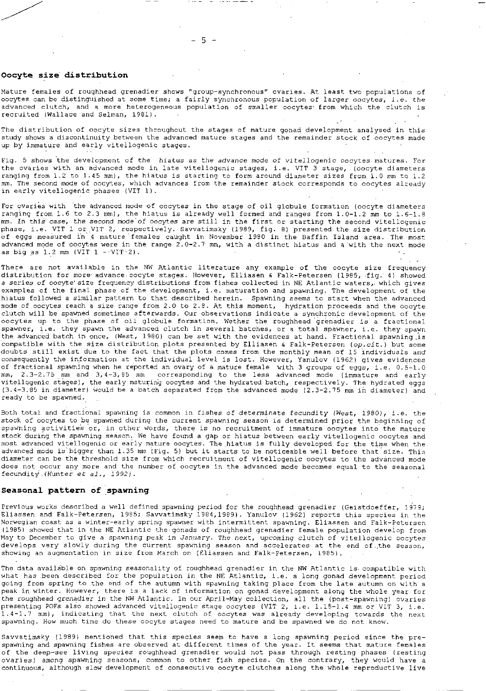## Oocyte size distribution

Mature females of roughhead grenadier shows "group-synchronous" ovaries. At least two populations of oocytes can be distinguished at some time; a fairly synchronous population of larger oocytes, i.e. *the*  advanced clutch, and a more heterogeneous population of smaller oocytes from which the clutch is recruited (Wallace and Selman, 1981).

The distribution of oocyte sizes throughout the stages of mature gonad development analysed in this study shows a discontinuity between the advanced mature stages and the remainder stock of oocytes made up by immature and early vitellogenic stages.

Fig. 5 shows the development of the hiatus *as* the *advance* mode *of* vitellogenic oocytes matures. For the ovaries with an advanced mode in late vitellogenic stages, i.e. VIT 3 stage, (oocyte diameters ranging from 1.2 to 1.45 mm), the hiatus is starting to form around diameter sizes Erom 1.0 mm to 1.2 mm. The second mode of oocytes, which advances from the remainder stock corresponds to oocytes already in early vitellogenic phases (VIT 1).

For ovaries with the advanced mode of oocytes in the stage of oil globule formation (oocyte diameters ranging from 1.6 to 2.3 mm), the hiatus is already well formed and ranges from 1.0-1.2 mm to 1.6-1.8 mm. In this *case;* the second mode'of oocytes are still in the first or starting the second vitellogenic phase, i.e. VIT 1 or VIT 2, respectively. Savvatimsky (1989, fig. 8) presented the size distribution Of eggs measured in 4 mature females caught in November 1980 in the Baffin Island area. The most advanced mode of oocytes were in the range 2.0-2.7 mm, with a distinct hiatus and a 'with the next mode as big as  $1.2$  mm (VIT  $1 - \text{VIT-2}$ ).

There are not available in the NW Atlantic literature any example of the oocyte size frequency distribution for more advance oocyte stages. However, Elliasen & Falk-Petersen (1985, fig. 4) showed a series of oocyte'size frequency distributions from fishes collected in NE Atlantic waters, which gives examples of the final phase of the development, i.e. maturation and spawning. The development of the hiatus followed a similar pattern to that described herein. Spawning seems to start when the advanced mode of oocytes reach a size range from 2.0 to 2.8. At this moment, hydration proceeds and the oocyte clutch will be spawned sometimes afterwards. Our observations indicate a synchronic development of the oocytes up to the phase of oil globule formation. Wether the roughhead'grenadier is a fractional spawner, i.e. they spawn the advanced clutch in several batches, or a total spawner, i.e. they spawn the advanced batch in once, (West, 1980) can be set with the evidences at hand. Fractional spawning .is compatible with the size distribution plots presented by Elliasen & Falk-Petersen *(op.cit.)* but some doubts still exist due to the fact that the plots comes from the monthly mean of 15 individuals and consequently the information at the individual level is lost. However, Yanulov (1962) gives evidences of fractional spawning when he reported an ovary of a mature female with 3 groups of eggs, i.e. 0.5-1.0 mm, 2.3-2.75 mm and 3,4-3,85 mm corresponding to the less advanced mode (immature and early vitellogenic stages), the early maturing oocytes and the hydrated batch, respectively. The hydrated eggs (3.4-3.85 in diameter) would be a batch separated from the advanced mode (2.3-2.75 mm in diameter) 'and ready to be spawned.

Both total and fractional spawning is common in fishes of determinate fecundity (West, 1980), i.e. the stock of oocytes to be spawned during the current spawning season is determined prior the beginning of spawning activities or, in other words, there is no recruitment of immature oocytes into the mature stock during the spawning season. We have found a gap or hiatus between early vitellogenic oocytes and most advanced vitellogenic or early mature oocytes. The hiatus is fully developed for the time when the advanced mode is bigger than 1.35 mm (Fig. 5) but it starts to be noticeable well before that size. This diameter can be the threshold size from which recruitment of vitellogenic oocytes to the advanced mode does not occur any more and the number of oocytes in the advanced mode becomes equal to the seasonal fecunditY.(Hunter at *al.,* 1992).

### Seasonal pattern of spawning

Previous works described a well defined spawning period for the roughhead grenadier (Geistdoeffer, 1979; Eliassen and Falk-Petersen, 1985; Savvatimsky 1984,1989). Yanulov (1962) reports this species in the Norwegian coast as a winter-early spring spawner with intermittent spawning. Eliassen and Falk-Petersen (1985) showed that in the NE Atlantic the gonads of roughhead grenadier female population develop from May to December to give a spawning peak in *January.* The next, upcoming clutch of vitellogenic oocytes develops very slowly during the current spawning season and accelerates at the end of,the season, showing an augmentation in size from March on (Eliassen and Falk-Petersen, 1985).

The data available on spawning seasonality of roughhead grenadier in the NW Atlantic is-compatible with what has been described for the population in the NE Atlantic, i.e. a long gonad development period going from spring to the end of the autumn with spawning taking place from the late autumn on with a peak in winter. However, there is a lack of information on gonad development along the whole year for the roughhead grenadier in the NW Atlantic. In our April-May collection, all the (post-spawning) ovaries presenting POFs also showed advanced vitellogenic stage oocytes (VIT 2, i.e. 1.15-1.4 mm or VIT 3, i.e. 1.4-1.7 mm), indicating that the next clutch of oocytes was already developing towards the next spawning. How much time do these oocyte stages need to mature and be spawned we do not know.

Savvatimsky (1989) mentioned that this species seem to have a long spawning period since the prespawning and spawning fishes are observed at different times of the year. It seems that mature females of the deep-see living species roughhead grenadier would not pass through resting phases (resting ovaries) among spawning seasons, common to other fish species. On the contrary, they would have a continuous, although slow development of consecutive oocyte clutches along the whole reproductive live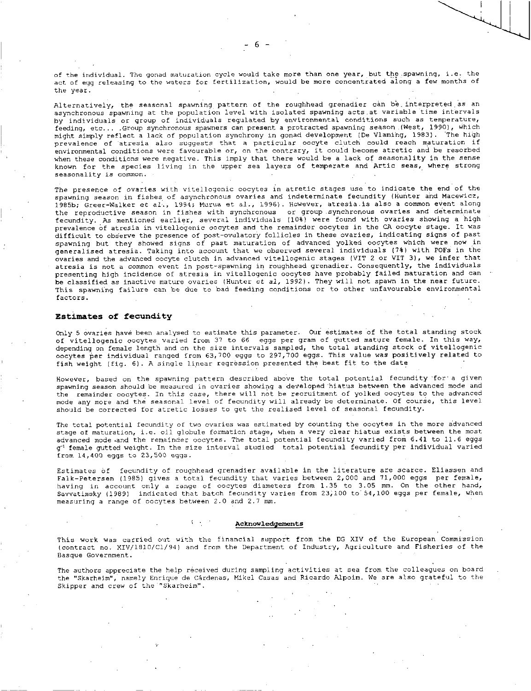of the individual. The gonad maturation cycle would take more than one year, but the .spawning, i.e. the act of egg releasing to the waters for fertilization, would be more concentrated along a few months of the year.

Alternatively, the seasonal spawning pattern of the roughhead grenadier can be. interpreted as an asynchronous spawning at the population level with isolated spawning acts,at variable time intervals by individuals or group of individuals regulated by environmental conditions such as temperature, feeding, etc... .Group synchronous spawners can present a protracted spawning season ,(West, 1990), which might simply reflect a lack of population synchrony in gonad development (De Vlamihg, 1983). The high prevalence of 'atresia also suggests that a particular oocyte clutch could reach maturation if environmental conditions were favourable or, on the contrary, it could become atretic and be resorbed when these conditions were negative. This imply that there would be a lack of seasonality in the sense known for the species living in the upper sea layers of temperate and Artic seas, where strong seasonality is common.

The presence of ovaries with vitellogenic oocytes in atretic stages use to indicate the end of the spawning season in fishes of asynchronous ovaries and indeterminate fecundity (Hunter and Macewicz, 1985b; Greer-Walker et al,, 1994; Murua et al., 1996). However, atresia.is also a common event along the reproductive season in fishes with synchronous or group .synchronous ovaries and determinate fecundity. As mentioned earlier, several individuals (10%) were found with ovaries showing a high prevalence of atresia in vitellogenic oocytes and the remainder oocytes in the CA oocyte stage. It was difficult to observe the presence of post-ovulatory follicles in these ovaries, indicating signs of past spawning but they showed signs of past maturation of advanced yolked oocytes which were now in generalised atresia. Taking into account that we observed several individuals (7%) with POFs in the ovaries and the advanced oocyte clutch in advanced vitellogenic stages (VIT 2 or VIT 3), we infer that atresia is not a common event in post-spawning in roughhead grenadier. Consequently, the individuals presenting high incidence of atresia in vitellogenic oocytes have probably failed maturation and can be classified as inactive mature ovaries (Hunter et *al,* 1992). They will not spawn in the near future. This spawning failure can be due to bad feeding conditions or to other unfavourable environmental factors.

## Estimates of fecundity

Only 5 ovaries have been analysed to estimate this parameter. Our estimates of the total standing stock of vitellogenic oocytes varied from 37 to 66 eggs per gram of gutted mature female. In this way, depending on female length and on the size intervals sampled, the total standing stock of vitellogenic oocytes per individual ranged from 63,700 eggs to 297,700 eggs. This value was positively related to fish weight (fig. 6). A single linear regression presented the best fit to the date

However, based on the spawning pattern described above the total potential fecundity 'for . a given spawning season should be measured in ovaries showing a developed 'hiatus between the advanced mode and the remainder oocytes. In this case, there will not be recruitment of yolked oocytes to the advanced mode any more and the seasonal level of fecundity will already be determinate. Of course, this level should be corrected for atretic losses to get the realised level of seasonal fecundity.

The total potential fecundity of two ovaries was estimated by counting the oocytes in the more advanced stage of maturation, i.e. oil globule formation stage, when a very clear hiatus exists between the most advanced mode and the remainder oocytes. The total potential fecundity varied from 6.41 to 11.6 eggs g' female gutted weight. In the size interval studied total potential fecundity per individual varied from 14,400 eggs to 23,500 eggs.

Estimates of fecundity of roughhead grenadier available in the literature are scarce. Eliassen and Falk-Petersen (1985) gives a total fecundity that varies between 2,000 and 71,000 eggs per female, having in account only a range of oocytes diameters from 1.35 to 3.05 mm. On the other hand, Savvatimsky (1989) indicated that batch fecundity varies from 23;100 to'54,100 eggs per female, when measuring a range of oocytes between 2.0 and 2.7 mm.

#### Acknowledgements

This work was carried out with the financial support from the DG XIV of the European Commission (contract no. XIV/1810/C1/94) and from the Department of Industry, Agriculture and Fisheries of the Basque Government.

The authors appreciate the help received during sampling activities at sea from the colleagues on board the "Skarheim", namely Enrique de Cardenas, Mikel Casas and Ricardo Alpoim. We are also grateful to the Skipper and crew of the "Skarheim".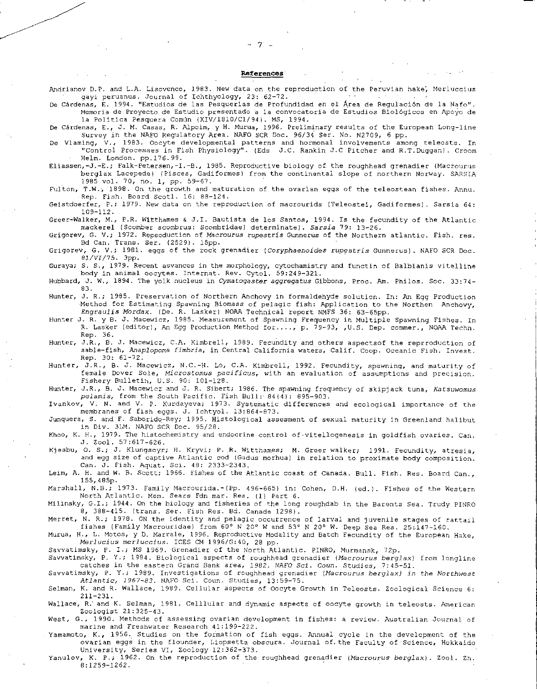#### **References**

**. ,** 

Andrianov D.P. and L.A. Lisovenco, 1983. New data on the reproduction of the Peruvian hake; Merluccius gayi peruanus. Journal of Ichthyology, 23: 62-72.

De Cardenas, E. 1994. "Estudios de las Pesquerias de Profundidad en el Area de Regulation de la Nafo". Memoria de Proyecto de Estudio presentado a la convocatoria de Estudios Biológicos en Apoyo de la Politica Pesquera Común (XIV/1810/C1/94). MS, 1994.

De Cárdenas, E., J. M. Casas, R. Alpoim, y H. Murua, 1996. Preliminary results of the European Long-line Survey in the NAFO Regulatory Area. NAFO SCR Doc. 96/34 Ser. No. N2709, 6 pp.

De Vlaming, V., 1983. Oocyte developmental patterns and hormonal involvements among teleosts. In "Control Processes in Fish Physiology". (Eds J.C. Rankin J.0 Pitcher and R.T.Duggan). Croon: Helm. London. pp.176.99.

Eliassen,-J.-E.; Falk-Petersen,-I.-B., 1985. Reproductive biology of the roughhead grenadier (Macrourus berglax Lacepede) (Pisces, Gadiformes) from the continental slope of northern Norway. SARSIA 1985 vol. 70, no. 1, pp. 59-67.

Fulton, T.W.; 1898. On the growth and maturation of the ovarian eggs of the teleostean fishes. Annu. Rep. Fish. Board Scotl. 16: 88-124.

Geistdoerfer, P.; 1979. New data on the reproduction of macrourids (Teleostei, Gadiformes). Sarsia 64: 109-112.

Greer-Walker, M., P.R. Witthames 6 J.I. Bautista de los Santos, 1994. Is the fecundity of the Atlantic mackerel (Scomber scombrus: Scombridae) determinate). *Sarsia* 79: 13-26.

Grigorev, G. V.; 1972. Repeoduction of *Macrourus rupestris* Gunnerus of the Northern atlantic. Fish. res. Bd Can. Trans. Ser. (2529). 15pp.

Grigorev, G. V.; 1981. eggs of the rock grenadier *(Coryphaenoides rupestris* Gunnerus). NAFO SCR Doc. *81/VI/75.* app.

Guraya; S. S., 1979. Recent asvances in the morphology, cytochamistry and functin of Balbianis vitelline body in animal oocytes. Internat. Rev. Cytol. 59:249-321.

Hubbard, J. **W.,** 1894. The yolk nucleus in *Cymatogaster aggregatus* Gibbons, Proc. Am. Philos. Soc. 33:74- 83.

Hunter, *J.* R.; 1985. Preservation of Northern Anchovy in formaldehyde solution. In: *An* Egg Production Method for Estimating Spawning Biomass of pelagic fish: Application to the Northen Anchovy, *Engraulis Mordax.* (De. R. Lasker) NOAA Technical report NMFS 36: 63-65pp.

Hunter J. R. y B. J. Macewicz, 1985. Measurement of Spawning Frequency in Multiple Spawning Fishes. In R. Lasker (editor), An Egg Production Method for...., p. 79-93, ,U.S. Dep. commer., NOAA Techn. Rep. 36.

Hunter, J.R., B. *J.* Macewicz, C.A. Kimbrell, 1989. Fecundity and others aspectsof the reprroduction of sable-fish, *Anaplopoma fimbria,* in Central California waters, Calif. Coop. Oceanic Fish. Invest. Rep. 30: 61-72.

Hunter, J.R., B. J. Macewicz, N.C.-H. Lo, C.A. Kimbrell, 1992. Fecundity, spawning, and maturity of female Dover Sole, *Microstomus pacificus,* with an evaluation of assumptions and precision. Fishery Bulletin, U.S. 90: 101-128.

Hunter, J.R., B. J. Macewicz and J. R. Sibert; 1986. The spawning frequency of skipjack tuna, *Katsuwomus*  pelamis, from the South Pacific. Fish Bull: 84(4): 895-903.

Ivankov, V. N. and V. P. Kurdayeva; 1973. Systematic differences and ecological importance of the membranes of fish eggs. J. Ichtyol. 13:864-873.

Junquera, S. and F. Saborido-Rey; 1995. Histological assesment of sexual maturity in Greenland halibut in Div. 3LM. NAFO SCR Doc. 95/28.

Khoo, K. H., 1979. The histochemistry and endocrine control of. vitellogenesis in goldfish ovaries. Can. *J.* Zool. 57:617-626.

Kjesbu, 0. S.; J. Klungsoyr; H. Kryvi; P. .R. Witthames; M. Greer walker; 1991. Fecundity, atresia, and egg size of captive Atlantic cod (Gadus morhua) in relation to proximate body composition. Can. J. Fish. Aquat. Sci. 48: 2333-2343.

Leim, A. H. and W. B. Scott; 1966. Fishes of the Atlantic coast of Canada. Bull. Fish. Res. Board Can., 155,485p.

Marshall, N.B.; 1973. Family Macrourida.-(Pp. 496-665) in: Cohen, D.H. (ed.). Fishes of the Western North Atlantic. Mem. Sears Fdn mar. Res. (1) Part 6.

Milinsky, G.I.; 1944. On the biology and fisheries of the long roughdab in the Barents Sea. Trudy PINRO 8, 388-415. (trans. Ser. Fish Res. Bd. Canade 1298).

Merret, N. R.; 1978. ON the identity and pelagic occurrence of larval and juvenile stages of rattail fishes (Family Macrouridae) from 60° N 20° W and 53° N 20° W. Deep Sea Res. 25:147-160.

Murua, H., L. Motos, y D. Marrale, 1996. Reproductive Modality and Batch Fecundity of the European Hake, *Merlucius merluccius.* ICES CM 1996/0:40, 28 pp.

Savvatimsky, P. I.; MS 1969. Grenadier of the North Atlantic. PINRO, Murmansk, 72p.

Savvatimsky, P. Y.; 1984. Biological aspects of roughhead grenadier (Macrourus *berglax)* from longline catches in the eastern Grand Bank area, 1962. *NAFO Sci. Coun. Studies,* 7:45-51.

Savvatimsky, P. Y.; 1989. Investigations of roughhead grenadier *(Macrourus berglax) in the Northwest Atlantic, 1967-83.* NAFO Sci. Coun. Studies, 13:59-75.

Selman, K. and R. Wallace, 1989. Cellular aspects of Oocyte Growth in Teleosts. Zoological Science 6: 211-231.

Wallace, R.' and K. Selman, 1981. Celllular and dynamic aspects of oocyte growth in teleosts. American Zoologist 21:325-43.

West, G., 1990. Methods of assessing ovarian development in fishes: a review. Australian Journal of marine and Freshwater Research 41:199-222.

Yamamoto, K., 1956. Studies on the formation of fish eggs. Annual cycle in the development of the ovarian eggs in the flounder, Liopsetta obscura. Journal of the Faculty of Science, Hokkaido University, Series VI, Zoology 12:362-373.

yanulov, K. P.; 1962. On the reproduction of the roughhead grenadier *(Macrourus* berg/ax). Zool. Zh. 8:1259-1262.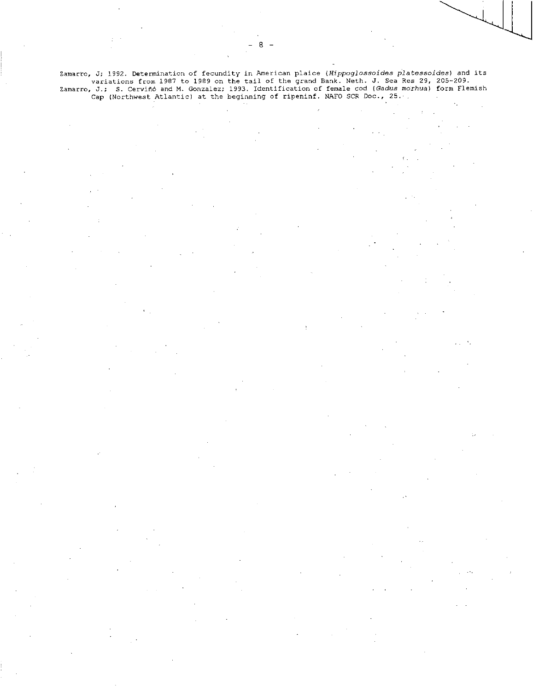Zamartc, J; 1992. Determination of fecundity in American plaice *(Hippoglossoides platessoides)* and its variations from 1987 to 1989 on the tail of the grand Bank. Neth. J. Sea Res 29, 205-209. Zamarro, J.; S. Cervind and M. Gonzalez; 1993. Identification of female cod *(Gadus morhua)* form Flemish Cap (Northwest Atlantic) at the beginning of ripeninf. NAFO SCR Doc., 25. $\cdot$ 

٨.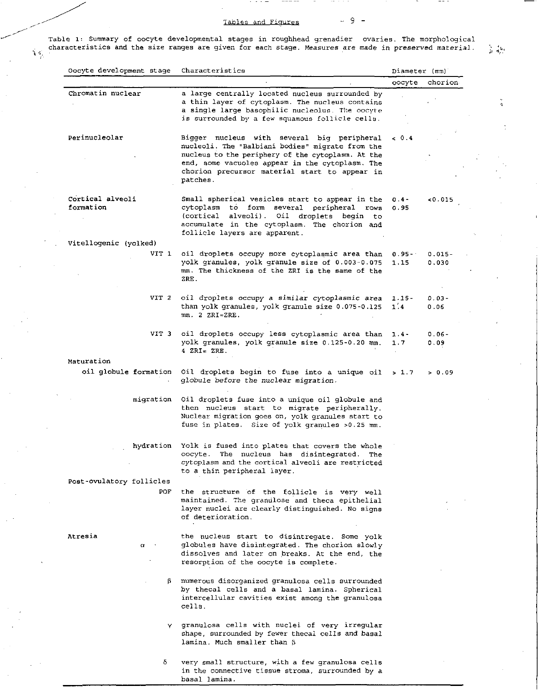# Tables and Figures  $-9 -$

Table 1: Summary of oocyte developmental stages in roughhead grenadier ovaries. The morphological characteristics and the size ranges are given for each stage. Measures are made in preserved material.  $\lesssim \sigma^{\rm log}_\phi$ 

| Oocyte development stage      | Characteristics                                                                                                                                                                                                                                         | Diameter (mm)      |                    |
|-------------------------------|---------------------------------------------------------------------------------------------------------------------------------------------------------------------------------------------------------------------------------------------------------|--------------------|--------------------|
|                               |                                                                                                                                                                                                                                                         | oocyte             | chorion            |
| Chromatin nuclear             | a large centrally located nucleus surrounded by<br>a thin layer of cytoplasm. The nucleus contains<br>a single large basophilic nucleolus. The oocyte<br>is surrounded by a few squamous follicle cells.                                                |                    |                    |
| Perinucleolar                 | Bigger nucleus with several big peripheral<br>nucleoli. The "Balbiani bodies" migrate from the<br>nucleus to the periphery of the cytoplasm. At the<br>end, some vacuoles appear in the cytoplasm. The<br>chorion precursor material start to appear in | & 0.4              |                    |
|                               | patches.                                                                                                                                                                                                                                                |                    |                    |
| Cortical alveoli<br>formation | Small spherical vesicles start to appear in the<br>cytoplasm to form<br>several peripheral<br>rows<br>(cortical<br>alveolí).<br>droplets begin to<br>Oil<br>accumulate in the cytoplasm. The chorion and<br>follicle layers are apparent.               | $0.4 -$<br>0.95    | 0.015              |
| Vitellogenic (yolked)         |                                                                                                                                                                                                                                                         |                    |                    |
| VIT 1                         | oil droplets occupy more cytoplasmic area than<br>yolk granules, yolk granule size of 0.003-0.075<br>mm. The thickness of the ZRI is the same of the<br>ZRE.                                                                                            | $0.95 - 1$<br>1.15 | $0.015 -$<br>0.030 |
| VIT 2                         | oil droplets occupy a similar cytoplasmic area<br>than yolk granules, yolk granule size 0.075-0.125<br>$mn. 2 ZRI = ZRE.$                                                                                                                               | $1.15 -$<br>1'.4   | $0.03 -$<br>0.06   |
| VIT 3                         | oil droplets occupy less cytoplasmic area than<br>yolk granules, yolk granule size 0.125-0.20 mm.<br>$4$ ZRI= ZRE.                                                                                                                                      | $1.4 -$<br>1.7     | $0.06 -$<br>0.09   |
| Maturation                    |                                                                                                                                                                                                                                                         |                    |                    |
| oil globule formation         | Oil droplets begin to fuse into a unique oil<br>globule before the nuclear migration.                                                                                                                                                                   | > 1.7              | > 0.09             |
| migration                     | Oil droplets fuse into a unique oil globule and<br>then nucleus start to migrate peripherally.<br>Nuclear migration goes on, yolk granules start to<br>fuse in plates. Size of yolk granules >0.25 mm.                                                  |                    |                    |
| hydration                     | Yolk is fused into plates that covers the whole<br>oocyte.<br>The nucleus has disintegrated.<br>The<br>cytoplasm and the cortical alveoli are restricted<br>to a thin peripheral layer.                                                                 |                    |                    |
| Post-ovulatory follicles      |                                                                                                                                                                                                                                                         |                    |                    |
| POF                           | the structure of the follicle is very well<br>maintained. The granulose and theca epithelial<br>layer nuclei are clearly distinguished. No signs<br>of deterioration.                                                                                   |                    |                    |
| Atresia<br>$\alpha$           | the nucleus start to disintregate. Some yolk<br>globules have disintegrated. The chorion slowly<br>dissolves and later on breaks. At the end, the<br>resorption of the oocyte is complete.                                                              |                    |                    |
| β                             | numerous disorganized granulosa cells surrounded<br>by thecal cells and a basal lamina. Spherical<br>intercellular cavities exist among the granulosa<br>cells.                                                                                         |                    |                    |
| Y                             | granulosa cells with nuclei of very irregular<br>shape, surrounded by fewer thecal cells and basal                                                                                                                                                      |                    |                    |

6 very small structure, with a few granulosa cells in the connective tissue stroma, surrounded by a basal lamina.

lamina. Much smaller than V.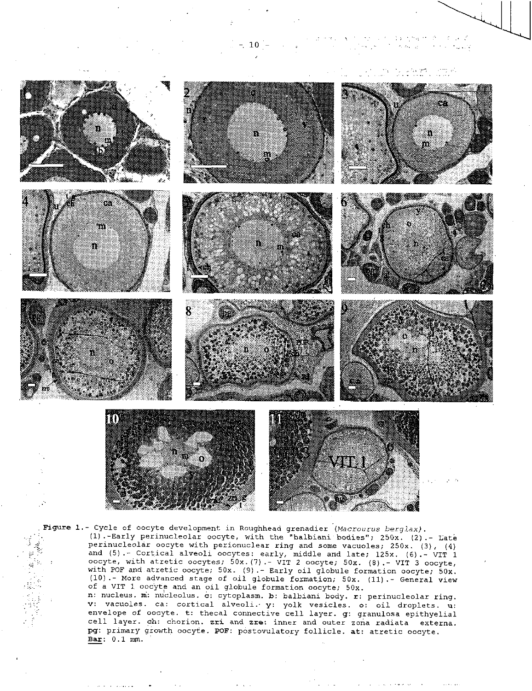$10$ 

 $\omega$  ,  $\omega$  ,  $\omega$ 



. Figure 1.- Cycle of oocyte development in Roughhead grenadier *(Macrourus berglax)*.<br>(1).-Early perinucleolar oocyte, with the "balbiani bodies"; 250x. (2).<br>perinucleolar oocyte with perionuclear ring and some vacuoles; (1).-Early perinucleolar oocyte, with the "balbiani bodies"; 250x. (2).- Late perinucleolar oocyte with perionuclear ring and some vacuoles; 250x. (3), (4) and (5).- Cortical alveoli oocytes: early, middle and late; 125x. (6).- VIT 1 oocyte, with atretic oocytes; 50x.(7).- VIT 2 oocyte; 50x. (8).- VIT 3 oocyte, with POF and atretic oocyte; 50x. (9).- Early oil globule formation oocyte; 50x. (10).- More advanced stage of oil globule formation; 50x. (11).- General view of a VIT 1 oocyte and an oil globule formation oocyte; 50x. n: nucleus. M: nucleolus. 6: cytoplasm. b: balbiani body. r: perinucleolar ring. v: vacuoles. ca: cortical alveoli.- y: yolk vesicles. o: oil droplets. u: envelope of oocyte. t: thecal connective cell layer. g: granulosa epithyelial cell layer. ch: chorion. zri and zre: inner and outer zona radiata externa. pg: primary growth oocyte. POF: postovulatory follicle. at: atretic oocyte.

Bar: 0.1 mm.

ķ  $\frac{1}{2}$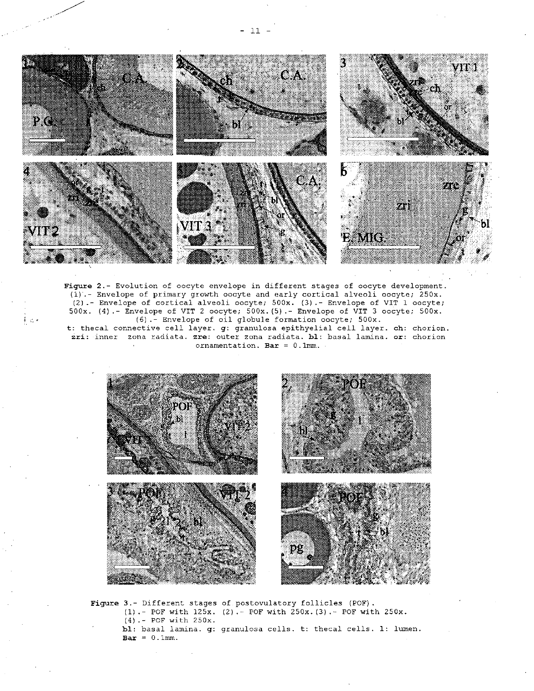

Figure 2.- Evolution of oocyte envelope in different stages of oocyte development. (1).- Envelope of primary growth oocyte and early cortical alveoli oocyte; 250x. (2).- Envelope of cortical alveoli oocyte; 500x. (3).- Envelope of VIT 1 oocyte; 500x. (4).- Envelope of VIT 2 oocyte; 500x.(5).- Envelope of VIT 3 oocyte; 500x. (6).- Envelope of oil globule formation oocyte; 500x.

する。

t: thecal connective cell layer. g: granulosa epithyelial cell layer. ch: chorion. zri: inner zona radiata. zre: outer zona radiata. bl: basal lamina. or: chorion ornamentation. Bar =  $0.1$ mm.



Figure 3.- Different stages of postovulatory follicles (POE). (1). - POF with 125x. (2).- POF with 250x.(3).- POF with 250x. (4). - POF with 250x. hi: basal lamina. g: granulosa cells. t: thecal cells. 1: lumen.  $\texttt{Bar} = 0.1 \text{mm}$ .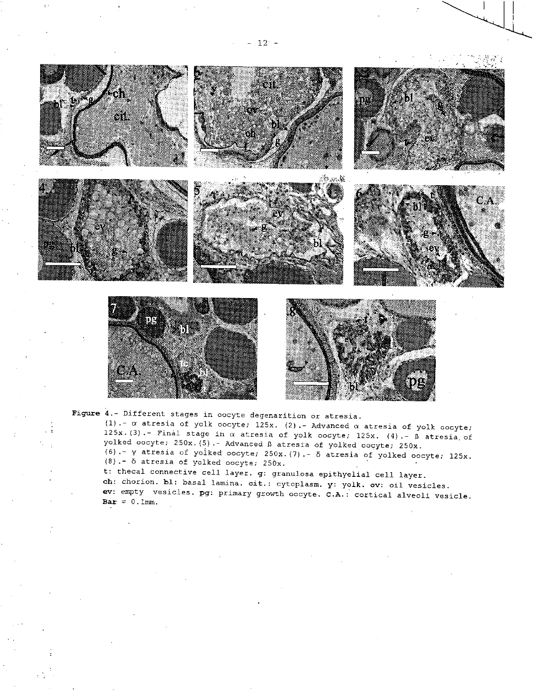





Figure 4.- Different stages in oocyte degenarition or atresia.

(1).-  $\alpha$  atresia of yolk oocyte; 125x. (2).- Advanced  $\alpha$  atresia of yolk oocyte; 125x.(3).- Final stage in  $\alpha$  atresia of yolk oocyte; 125x. (4).-  $\beta$  atresia of yolked oocyte; 250x.(5).- Advanced D atresia of yolked oocyte; 250x. (6).- y atresia of yolked oocyte; 250x.(7).- 6 atresia of yolked oocyte; 125x.  $(8)$ .-  $\delta$  atresia of yolked oocyte; 250x.

t: thecal connective cell layer. g: granulosa epithyelial cell layer.

ch: chorion. bl: basal lamina. cit.: cytoplasm. y: yolk. ov: oil vesicles. ev: empty vesicles. pg: primary growth oocyte. C.A.: cortical alveoli vesicle.  $Bar = 0.1mm.$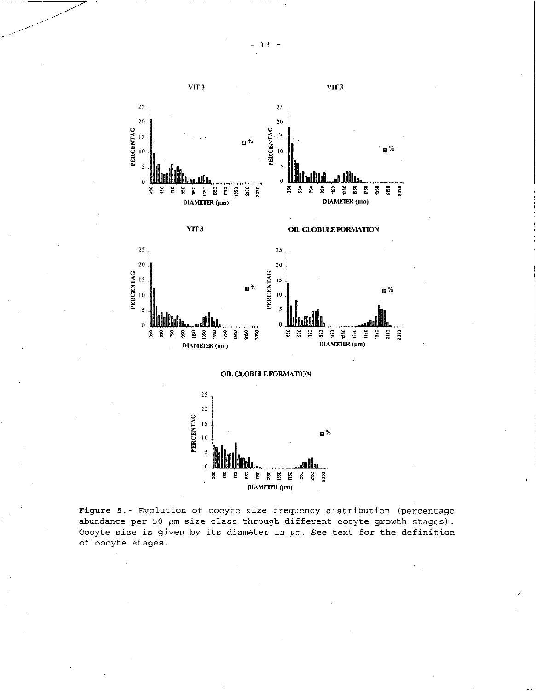



z.



Figure 5. - Evolution of oocyte size frequency distribution (percentage abundance per 50  $\mu$ m size class through different oocyte growth stages). Oocyte size is given by its diameter in  $\mu$ m. See text for the definition of oocyte stages.

•

•

•